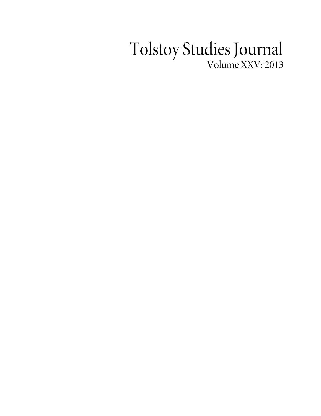## Tolstoy Studies Journal Volume XXV: 2013